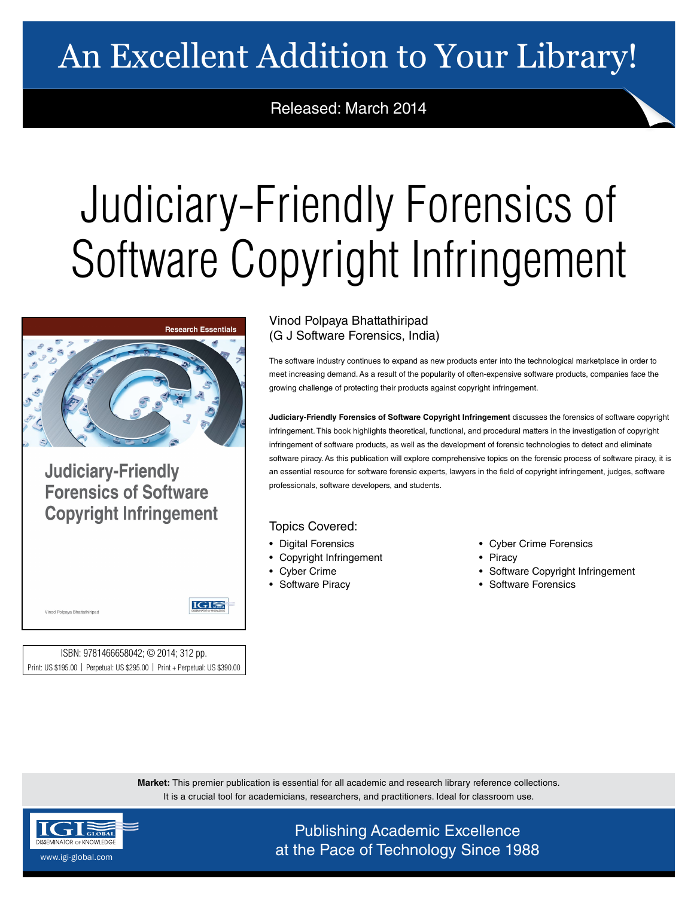## An Excellent Addition to Your Library!

Released: March 2014

## Judiciary-Friendly Forensics of Software Copyright Infringement



**Judiciary-Friendly Forensics of Software Copyright Infringement** 

IGI

ISBN: 9781466658042; © 2014; 312 pp. Print: US \$195.00 | Perpetual: US \$295.00 | Print + Perpetual: US \$390.00

## Vinod Polpaya Bhattathiripad (G J Software Forensics, India)

The software industry continues to expand as new products enter into the technological marketplace in order to meet increasing demand. As a result of the popularity of often-expensive software products, companies face the growing challenge of protecting their products against copyright infringement.

**Judiciary-Friendly Forensics of Software Copyright Infringement** discusses the forensics of software copyright infringement. This book highlights theoretical, functional, and procedural matters in the investigation of copyright infringement of software products, as well as the development of forensic technologies to detect and eliminate software piracy. As this publication will explore comprehensive topics on the forensic process of software piracy, it is an essential resource for software forensic experts, lawyers in the field of copyright infringement, judges, software professionals, software developers, and students.

## Topics Covered:

- Digital Forensics
- Copyright Infringement
- Cyber Crime
- Software Piracy
- Cyber Crime Forensics
- **Piracy** 
	- Software Copyright Infringement
- Software Forensics

**Market:** This premier publication is essential for all academic and research library reference collections. It is a crucial tool for academicians, researchers, and practitioners. Ideal for classroom use.



Vinod Polpaya Bhattathiripad

Publishing Academic Excellence **at the Pace of Technology Since 1988** www.igi-global.com